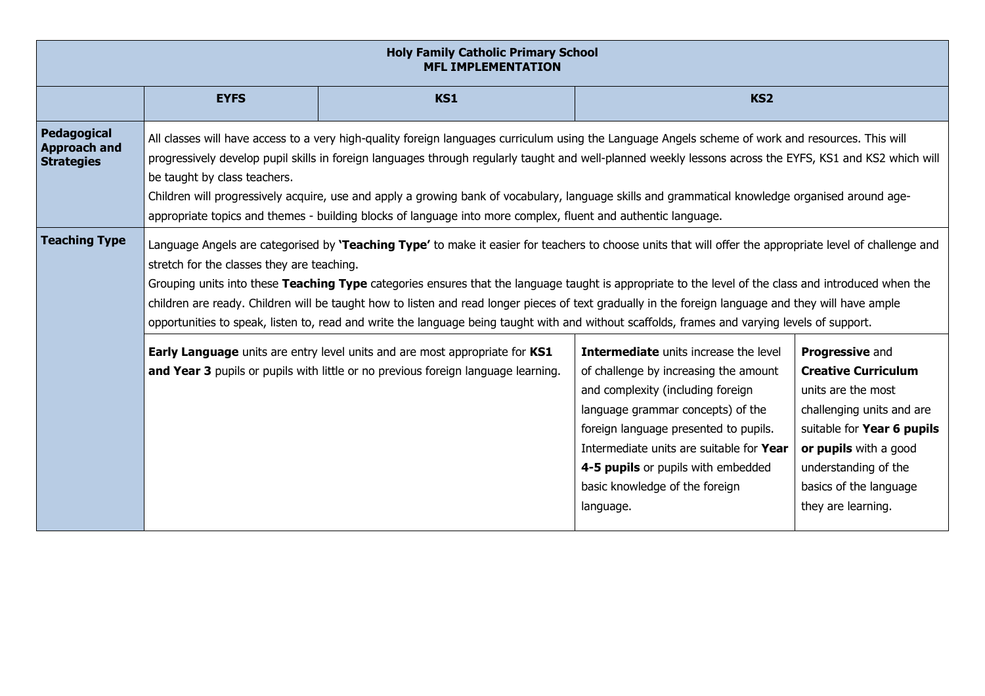| <b>Holy Family Catholic Primary School</b><br><b>MFL IMPLEMENTATION</b>                                                                                                                                                                                                                                                                                                                                                                                                                                                                                                                                                                                                                                                                          |                                                                                                                                                                                                                                                                                                                                                                                                                                                                                                                                                                                                                                                                        |            |                 |  |  |  |
|--------------------------------------------------------------------------------------------------------------------------------------------------------------------------------------------------------------------------------------------------------------------------------------------------------------------------------------------------------------------------------------------------------------------------------------------------------------------------------------------------------------------------------------------------------------------------------------------------------------------------------------------------------------------------------------------------------------------------------------------------|------------------------------------------------------------------------------------------------------------------------------------------------------------------------------------------------------------------------------------------------------------------------------------------------------------------------------------------------------------------------------------------------------------------------------------------------------------------------------------------------------------------------------------------------------------------------------------------------------------------------------------------------------------------------|------------|-----------------|--|--|--|
|                                                                                                                                                                                                                                                                                                                                                                                                                                                                                                                                                                                                                                                                                                                                                  | <b>EYFS</b>                                                                                                                                                                                                                                                                                                                                                                                                                                                                                                                                                                                                                                                            | <b>KS1</b> | KS <sub>2</sub> |  |  |  |
| Pedagogical<br><b>Approach and</b><br><b>Strategies</b>                                                                                                                                                                                                                                                                                                                                                                                                                                                                                                                                                                                                                                                                                          | All classes will have access to a very high-quality foreign languages curriculum using the Language Angels scheme of work and resources. This will<br>progressively develop pupil skills in foreign languages through regularly taught and well-planned weekly lessons across the EYFS, KS1 and KS2 which will<br>be taught by class teachers.<br>Children will progressively acquire, use and apply a growing bank of vocabulary, language skills and grammatical knowledge organised around age-<br>appropriate topics and themes - building blocks of language into more complex, fluent and authentic language.                                                    |            |                 |  |  |  |
| <b>Teaching Type</b>                                                                                                                                                                                                                                                                                                                                                                                                                                                                                                                                                                                                                                                                                                                             | Language Angels are categorised by 'Teaching Type' to make it easier for teachers to choose units that will offer the appropriate level of challenge and<br>stretch for the classes they are teaching.<br>Grouping units into these Teaching Type categories ensures that the language taught is appropriate to the level of the class and introduced when the<br>children are ready. Children will be taught how to listen and read longer pieces of text gradually in the foreign language and they will have ample<br>opportunities to speak, listen to, read and write the language being taught with and without scaffolds, frames and varying levels of support. |            |                 |  |  |  |
| Intermediate units increase the level<br>Early Language units are entry level units and are most appropriate for KS1<br><b>Progressive and</b><br>and Year 3 pupils or pupils with little or no previous foreign language learning.<br><b>Creative Curriculum</b><br>of challenge by increasing the amount<br>and complexity (including foreign<br>units are the most<br>language grammar concepts) of the<br>challenging units and are<br>foreign language presented to pupils.<br>suitable for Year 6 pupils<br>Intermediate units are suitable for Year<br>or pupils with a good<br>4-5 pupils or pupils with embedded<br>understanding of the<br>basic knowledge of the foreign<br>basics of the language<br>they are learning.<br>language. |                                                                                                                                                                                                                                                                                                                                                                                                                                                                                                                                                                                                                                                                        |            |                 |  |  |  |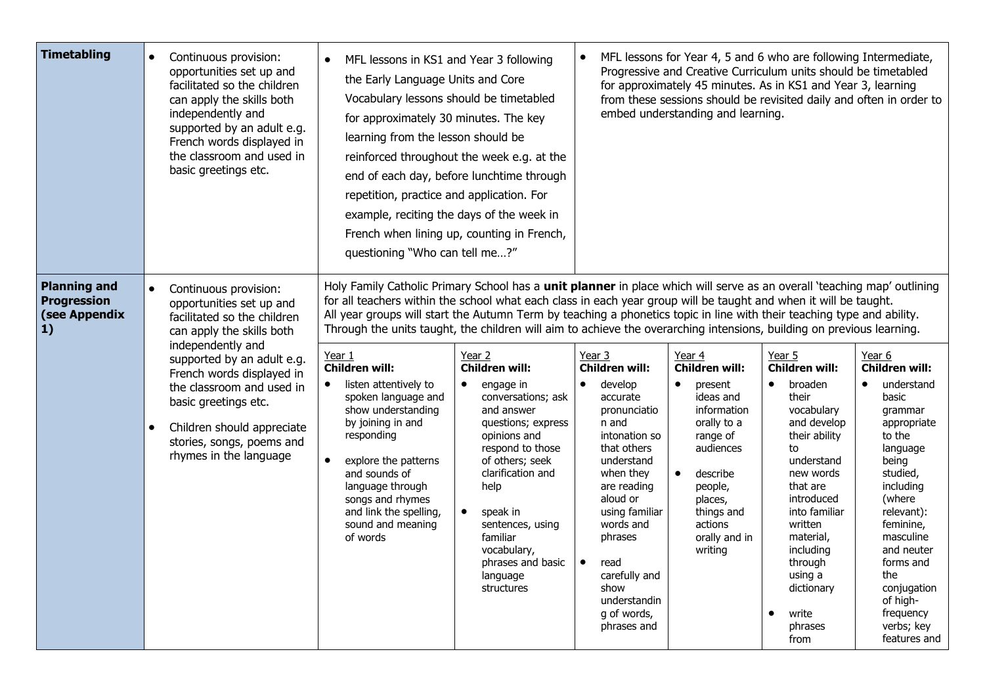| <b>Timetabling</b>                                                | Continuous provision:<br>$\bullet$<br>opportunities set up and<br>facilitated so the children<br>can apply the skills both<br>independently and<br>supported by an adult e.g.<br>French words displayed in<br>the classroom and used in<br>basic greetings etc.                                                                                                   | MFL lessons in KS1 and Year 3 following<br>$\bullet$<br>the Early Language Units and Core<br>Vocabulary lessons should be timetabled<br>for approximately 30 minutes. The key<br>learning from the lesson should be<br>repetition, practice and application. For<br>example, reciting the days of the week in<br>questioning "Who can tell me?"                                                                                                                                                                                                                                                                                                                                                                                                                                                                  | reinforced throughout the week e.g. at the<br>end of each day, before lunchtime through<br>French when lining up, counting in French,                                                                                                                                                                                          |                                                                                                                                                                                                                                                                                                             | MFL lessons for Year 4, 5 and 6 who are following Intermediate,<br>Progressive and Creative Curriculum units should be timetabled<br>for approximately 45 minutes. As in KS1 and Year 3, learning<br>from these sessions should be revisited daily and often in order to<br>embed understanding and learning. |                                                                                                                                                                                                                                                                                                              |                                                                                                                                                                                                                                                                                                                 |
|-------------------------------------------------------------------|-------------------------------------------------------------------------------------------------------------------------------------------------------------------------------------------------------------------------------------------------------------------------------------------------------------------------------------------------------------------|------------------------------------------------------------------------------------------------------------------------------------------------------------------------------------------------------------------------------------------------------------------------------------------------------------------------------------------------------------------------------------------------------------------------------------------------------------------------------------------------------------------------------------------------------------------------------------------------------------------------------------------------------------------------------------------------------------------------------------------------------------------------------------------------------------------|--------------------------------------------------------------------------------------------------------------------------------------------------------------------------------------------------------------------------------------------------------------------------------------------------------------------------------|-------------------------------------------------------------------------------------------------------------------------------------------------------------------------------------------------------------------------------------------------------------------------------------------------------------|---------------------------------------------------------------------------------------------------------------------------------------------------------------------------------------------------------------------------------------------------------------------------------------------------------------|--------------------------------------------------------------------------------------------------------------------------------------------------------------------------------------------------------------------------------------------------------------------------------------------------------------|-----------------------------------------------------------------------------------------------------------------------------------------------------------------------------------------------------------------------------------------------------------------------------------------------------------------|
| <b>Planning and</b><br>Progression<br>(see Appendix<br>$\vert 1)$ | Continuous provision:<br>$\bullet$<br>opportunities set up and<br>facilitated so the children<br>can apply the skills both<br>independently and<br>supported by an adult e.g.<br>French words displayed in<br>the classroom and used in<br>basic greetings etc.<br>Children should appreciate<br>$\bullet$<br>stories, songs, poems and<br>rhymes in the language | Holy Family Catholic Primary School has a unit planner in place which will serve as an overall 'teaching map' outlining<br>for all teachers within the school what each class in each year group will be taught and when it will be taught.<br>All year groups will start the Autumn Term by teaching a phonetics topic in line with their teaching type and ability.<br>Through the units taught, the children will aim to achieve the overarching intensions, building on previous learning.<br>Year 1<br><b>Children will:</b><br>listen attentively to<br>$\bullet$<br>spoken language and<br>show understanding<br>by joining in and<br>responding<br>$\bullet$<br>explore the patterns<br>and sounds of<br>language through<br>songs and rhymes<br>and link the spelling,<br>sound and meaning<br>of words | Year 2<br><b>Children will:</b><br>engage in<br>$\bullet$<br>conversations; ask<br>and answer<br>questions; express<br>opinions and<br>respond to those<br>of others; seek<br>clarification and<br>help<br>$\bullet$<br>speak in<br>sentences, using<br>familiar<br>vocabulary,<br>phrases and basic<br>language<br>structures | Year 3<br><b>Children will:</b><br>develop<br>$\bullet$<br>accurate<br>pronunciatio<br>n and<br>intonation so<br>that others<br>understand<br>when they<br>are reading<br>aloud or<br>using familiar<br>words and<br>phrases<br>read<br>carefully and<br>show<br>understandin<br>g of words,<br>phrases and | Year 4<br><b>Children will:</b><br>$\bullet$<br>present<br>ideas and<br>information<br>orally to a<br>range of<br>audiences<br>$\bullet$<br>describe<br>people,<br>places,<br>things and<br>actions<br>orally and in<br>writing                                                                               | Year 5<br><b>Children will:</b><br>broaden<br>$\bullet$<br>their<br>vocabulary<br>and develop<br>their ability<br>to<br>understand<br>new words<br>that are<br>introduced<br>into familiar<br>written<br>material,<br>including<br>through<br>using a<br>dictionary<br>write<br>$\bullet$<br>phrases<br>from | Year 6<br><b>Children will:</b><br>understand<br>$\bullet$<br>basic<br>grammar<br>appropriate<br>to the<br>language<br>being<br>studied,<br>including<br>(where<br>relevant):<br>feminine,<br>masculine<br>and neuter<br>forms and<br>the<br>conjugation<br>of high-<br>frequency<br>verbs; key<br>features and |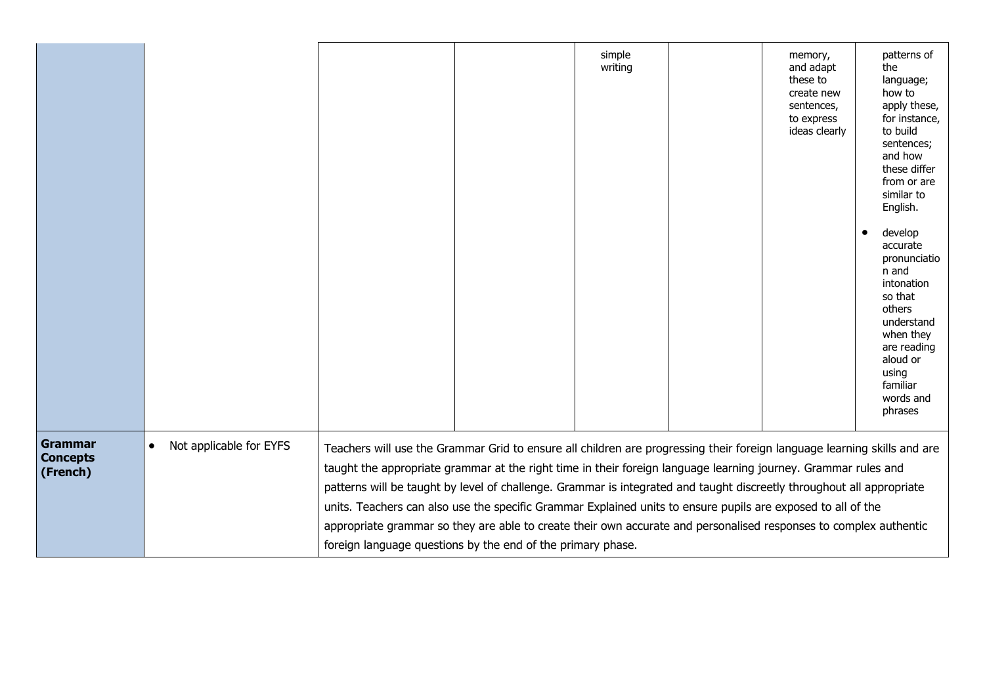|                                               |                                      |                                                                                                                                                                                                                                                                                                                                                                                                                                                                                                                                                                                                                                                                         |  | simple<br>writing |  | memory,<br>and adapt<br>these to<br>create new<br>sentences,<br>to express<br>ideas clearly | patterns of<br>the<br>language;<br>how to<br>apply these,<br>for instance,<br>to build<br>sentences;<br>and how<br>these differ<br>from or are<br>similar to<br>English.<br>develop<br>$\bullet$<br>accurate<br>pronunciatio<br>n and<br>intonation<br>so that<br>others<br>understand<br>when they<br>are reading<br>aloud or<br>using<br>familiar<br>words and<br>phrases |
|-----------------------------------------------|--------------------------------------|-------------------------------------------------------------------------------------------------------------------------------------------------------------------------------------------------------------------------------------------------------------------------------------------------------------------------------------------------------------------------------------------------------------------------------------------------------------------------------------------------------------------------------------------------------------------------------------------------------------------------------------------------------------------------|--|-------------------|--|---------------------------------------------------------------------------------------------|-----------------------------------------------------------------------------------------------------------------------------------------------------------------------------------------------------------------------------------------------------------------------------------------------------------------------------------------------------------------------------|
| <b>Grammar</b><br><b>Concepts</b><br>(French) | Not applicable for EYFS<br>$\bullet$ | Teachers will use the Grammar Grid to ensure all children are progressing their foreign language learning skills and are<br>taught the appropriate grammar at the right time in their foreign language learning journey. Grammar rules and<br>patterns will be taught by level of challenge. Grammar is integrated and taught discreetly throughout all appropriate<br>units. Teachers can also use the specific Grammar Explained units to ensure pupils are exposed to all of the<br>appropriate grammar so they are able to create their own accurate and personalised responses to complex authentic<br>foreign language questions by the end of the primary phase. |  |                   |  |                                                                                             |                                                                                                                                                                                                                                                                                                                                                                             |